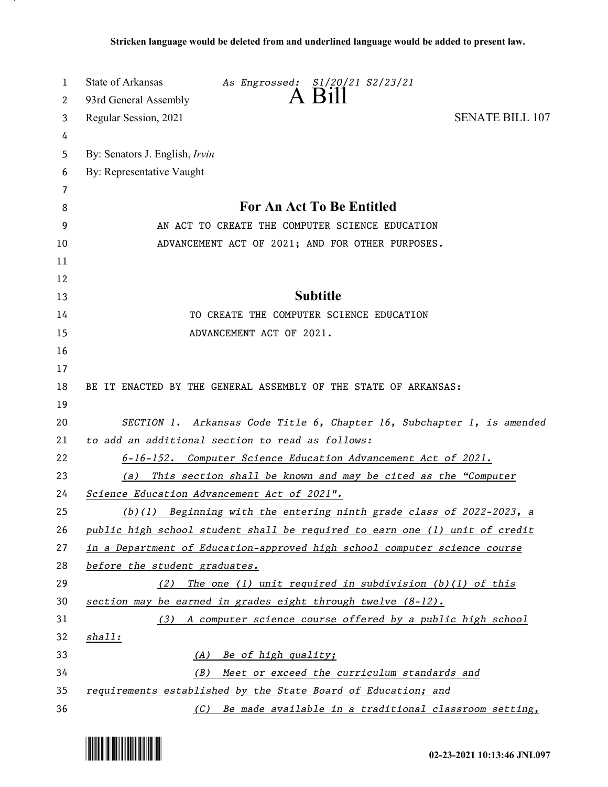| 1  | State of Arkansas<br>As Engrossed: S1/20/21 S2/23/21                        |
|----|-----------------------------------------------------------------------------|
| 2  | $\overline{A}$ $\overline{B}$ 11<br>93rd General Assembly                   |
| 3  | <b>SENATE BILL 107</b><br>Regular Session, 2021                             |
| 4  |                                                                             |
| 5  | By: Senators J. English, Irvin                                              |
| 6  | By: Representative Vaught                                                   |
| 7  |                                                                             |
| 8  | <b>For An Act To Be Entitled</b>                                            |
| 9  | AN ACT TO CREATE THE COMPUTER SCIENCE EDUCATION                             |
| 10 | ADVANCEMENT ACT OF 2021; AND FOR OTHER PURPOSES.                            |
| 11 |                                                                             |
| 12 |                                                                             |
| 13 | <b>Subtitle</b>                                                             |
| 14 | TO CREATE THE COMPUTER SCIENCE EDUCATION                                    |
| 15 | ADVANCEMENT ACT OF 2021.                                                    |
| 16 |                                                                             |
| 17 |                                                                             |
| 18 | BE IT ENACTED BY THE GENERAL ASSEMBLY OF THE STATE OF ARKANSAS:             |
| 19 |                                                                             |
| 20 | SECTION 1. Arkansas Code Title 6, Chapter 16, Subchapter 1, is amended      |
| 21 | to add an additional section to read as follows:                            |
| 22 | 6-16-152. Computer Science Education Advancement Act of 2021.               |
| 23 | This section shall be known and may be cited as the "Computer<br>(a)        |
| 24 | Science Education Advancement Act of 2021".                                 |
| 25 | $(b)(1)$ Beginning with the entering ninth grade class of 2022-2023, a      |
| 26 | public high school student shall be required to earn one (1) unit of credit |
| 27 | in a Department of Education-approved high school computer science course   |
| 28 | before the student graduates.                                               |
| 29 | The one $(1)$ unit required in subdivision $(b)(1)$ of this<br>(2)          |
| 30 | section may be earned in grades eight through twelve (8-12).                |
| 31 | (3) A computer science course offered by a public high school               |
| 32 | <u>shall:</u>                                                               |
| 33 | Be of high quality;<br>(A)                                                  |
| 34 | Meet or exceed the curriculum standards and<br>(B)                          |
| 35 | requirements established by the State Board of Education; and               |
| 36 | Be made available in a traditional classroom setting,<br>(C)                |